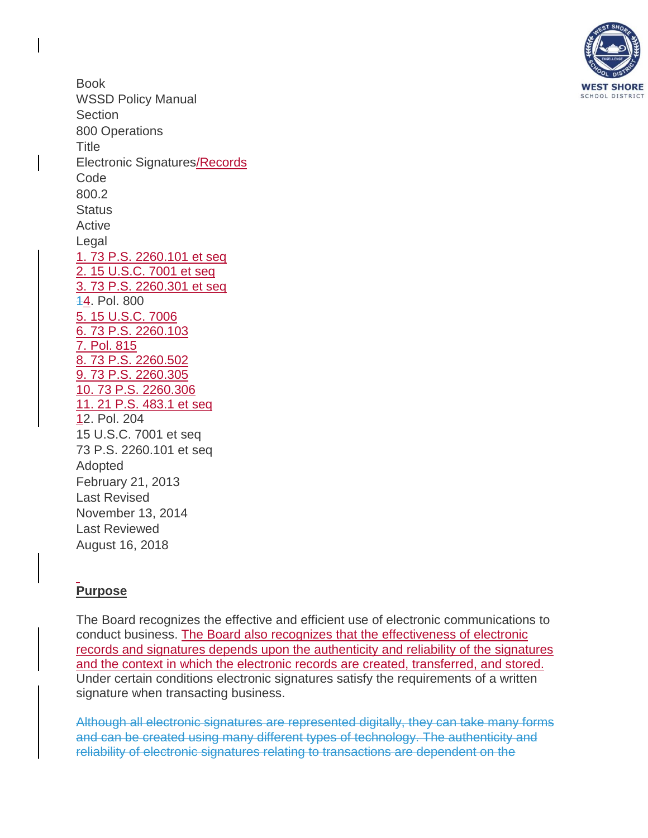

Book WSSD Policy Manual **Section** 800 Operations **Title** Electronic Signatures/Records Code 800.2 **Status** Active Legal 1. 73 P.S. [2260.101](http://www.legis.state.pa.us/CFDOCS/LEGIS/LI/uconsCheck.cfm?txtType=HTM&yr=1999&sessInd=0&smthLwInd=0&act=0069.&CFID=214545705&CFTOKEN=23032194) et seq 2. 15 [U.S.C.](http://www.law.cornell.edu/uscode/text/15/chapter-96/subchapter-I) 7001 et seq 3. 73 P.S. [2260.301](https://www.legis.state.pa.us/cfdocs/legis/li/uconsCheck.cfm?yr=1999&sessInd=0&act=69) et seq 14. Pol. 800 5. 15 [U.S.C.](http://www.law.cornell.edu/uscode/text/15/7006) 7006 6. 73 P.S. [2260.103](http://www.legis.state.pa.us/cfdocs/legis/LI/uconsCheck.cfm?txtType=HTM&yr=1999&sessInd=0&smthLwInd=0&act=69&chpt=1&sctn=3&subsctn=0) 7. Pol. 815 8. 73 P.S. [2260.502](https://www.legis.state.pa.us/cfdocs/legis/li/uconsCheck.cfm?yr=1999&sessInd=0&act=69) 9. 73 P.S. [2260.305](http://www.legis.state.pa.us/cfdocs/legis/LI/uconsCheck.cfm?txtType=HTM&yr=1999&sessInd=0&smthLwInd=0&act=69&chpt=3&sctn=5&subsctn=0) 10. 73 P.S. [2260.306](https://www.legis.state.pa.us/cfdocs/legis/li/uconsCheck.cfm?yr=1999&sessInd=0&act=69) 11. 21 P.S. [483.1](https://www.legis.state.pa.us/cfdocs/legis/li/uconsCheck.cfm?yr=2012&sessInd=0&act=100) et seq 12. Pol. 204 15 [U.S.C.](http://www.law.cornell.edu/uscode/text/15/chapter-96/subchapter-I) 7001 et seq 73 P.S. [2260.101](http://www.legis.state.pa.us/CFDOCS/LEGIS/LI/uconsCheck.cfm?txtType=HTM&yr=1999&sessInd=0&smthLwInd=0&act=0069.&CFID=214545705&CFTOKEN=23032194) et seq Adopted February 21, 2013 Last Revised November 13, 2014 Last Reviewed August 16, 2018

# **Purpose**

The Board recognizes the effective and efficient use of electronic communications to conduct business. The Board also recognizes that the effectiveness of electronic records and signatures depends upon the authenticity and reliability of the signatures and the context in which the electronic records are created, transferred, and stored. Under certain conditions electronic signatures satisfy the requirements of a written signature when transacting business.

Although all electronic signatures are represented digitally, they can take many forms and can be created using many different types of technology. The authenticity and reliability of electronic signatures relating to transactions are dependent on the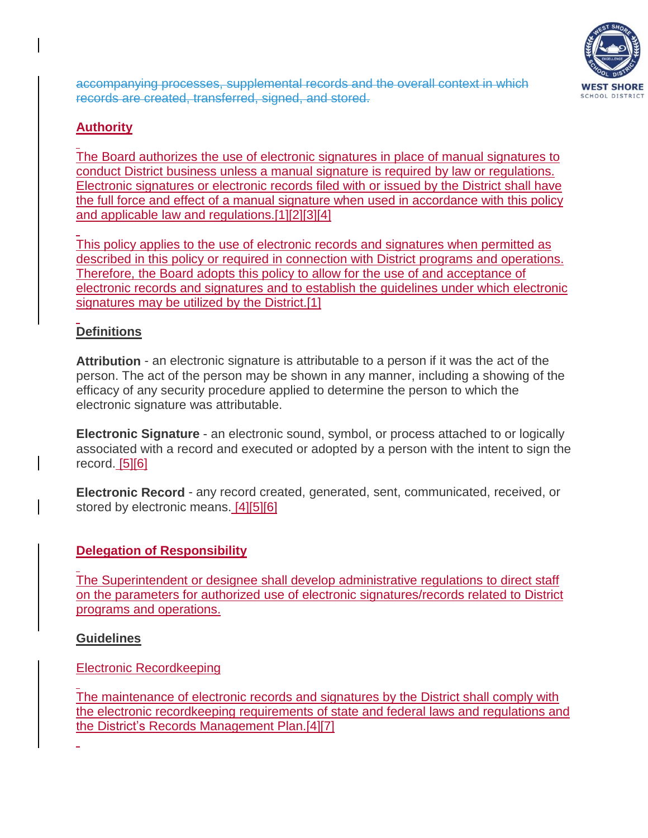

accompanying processes, supplemental records and the overall context in which records are created, transferred, signed, and stored.

## **Authority**

The Board authorizes the use of electronic signatures in place of manual signatures to conduct District business unless a manual signature is required by law or regulations. Electronic signatures or electronic records filed with or issued by the District shall have the full force and effect of a manual signature when used in accordance with this policy and applicable law and regulations[.\[1\]\[2\]](http://www.legis.state.pa.us/CFDOCS/LEGIS/LI/uconsCheck.cfm?txtType=HTM&yr=1999&sessInd=0&smthLwInd=0&act=0069.&CFID=214545705&CFTOKEN=23032194)[\[3\]\[](https://www.legis.state.pa.us/cfdocs/legis/li/uconsCheck.cfm?yr=1999&sessInd=0&act=69)4]

This policy applies to the use of electronic records and signatures when permitted as described in this policy or required in connection with District programs and operations. Therefore, the Board adopts this policy to allow for the use of and acceptance of electronic records and signatures and to establish the guidelines under which electronic signatures may be utilized by the District.<sup>[1]</sup>

### **Definitions**

**Attribution** - an electronic signature is attributable to a person if it was the act of the person. The act of the person may be shown in any manner, including a showing of the efficacy of any security procedure applied to determine the person to which the electronic signature was attributable.

**Electronic Signature** - an electronic sound, symbol, or process attached to or logically associated with a record and executed or adopted by a person with the intent to sign the record. [\[5\]\[6\]](http://www.law.cornell.edu/uscode/text/15/7006)

**Electronic Record** - any record created, generated, sent, communicated, received, or stored by electronic means. [4[\]\[5\]\[6\]](http://www.law.cornell.edu/uscode/text/15/7006)

### **Delegation of Responsibility**

The Superintendent or designee shall develop administrative regulations to direct staff on the parameters for authorized use of electronic signatures/records related to District programs and operations.

### **Guidelines**

Electronic Recordkeeping

The maintenance of electronic records and signatures by the District shall comply with the electronic recordkeeping requirements of state and federal laws and regulations and the District's Records Management Plan.[4][7]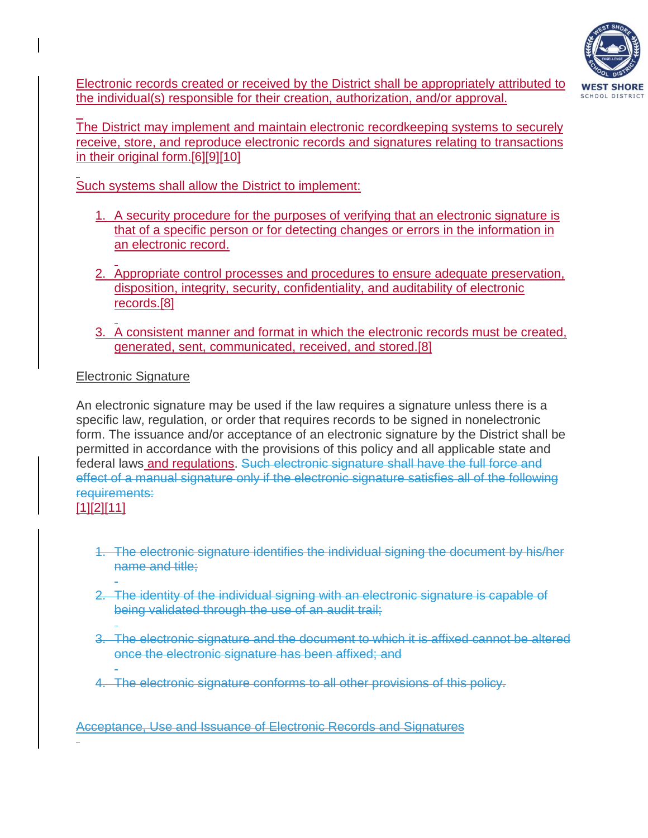

Electronic records created or received by the District shall be appropriately attributed to the individual(s) responsible for their creation, authorization, and/or approval.

 $\overline{a}$ The District may implement and maintain electronic recordkeeping systems to securely receive, store, and reproduce electronic records and signatures relating to transactions in their original form[.\[6\]\[9\]](http://www.legis.state.pa.us/cfdocs/legis/LI/uconsCheck.cfm?txtType=HTM&yr=1999&sessInd=0&smthLwInd=0&act=69&chpt=1&sctn=3&subsctn=0)[\[10\]](https://www.legis.state.pa.us/cfdocs/legis/li/uconsCheck.cfm?yr=1999&sessInd=0&act=69)

Such systems shall allow the District to implement:

- 1. A security procedure for the purposes of verifying that an electronic signature is that of a specific person or for detecting changes or errors in the information in an electronic record.
- 2. Appropriate control processes and procedures to ensure adequate preservation, disposition, integrity, security, confidentiality, and auditability of electronic records[.\[8\]](https://www.legis.state.pa.us/cfdocs/legis/li/uconsCheck.cfm?yr=1999&sessInd=0&act=69)
- 3. A consistent manner and format in which the electronic records must be created, generated, sent, communicated, received, and stored[.\[8\]](https://www.legis.state.pa.us/cfdocs/legis/li/uconsCheck.cfm?yr=1999&sessInd=0&act=69)

### Electronic Signature

An electronic signature may be used if the law requires a signature unless there is a specific law, regulation, or order that requires records to be signed in nonelectronic form. The issuance and/or acceptance of an electronic signature by the District shall be permitted in accordance with the provisions of this policy and all applicable state and federal laws and regulations. Such electronic signature shall have the full force and effect of a manual signature only if the electronic signature satisfies all of the following requirements: [\[1\]\[2\]](http://www.legis.state.pa.us/CFDOCS/LEGIS/LI/uconsCheck.cfm?txtType=HTM&yr=1999&sessInd=0&smthLwInd=0&act=0069.&CFID=214545705&CFTOKEN=23032194)[\[11\]](https://www.legis.state.pa.us/cfdocs/legis/li/uconsCheck.cfm?yr=2012&sessInd=0&act=100)

- 1. The electronic signature identifies the individual signing the document by his/her name and title;
- 2. The identity of the individual signing with an electronic signature is capable of being validated through the use of an audit trail;
- 3. The electronic signature and the document to which it is affixed cannot be altered once the electronic signature has been affixed; and
- 4. The electronic signature conforms to all other provisions of this policy.

Acceptance, Use and Issuance of Electronic Records and Signatures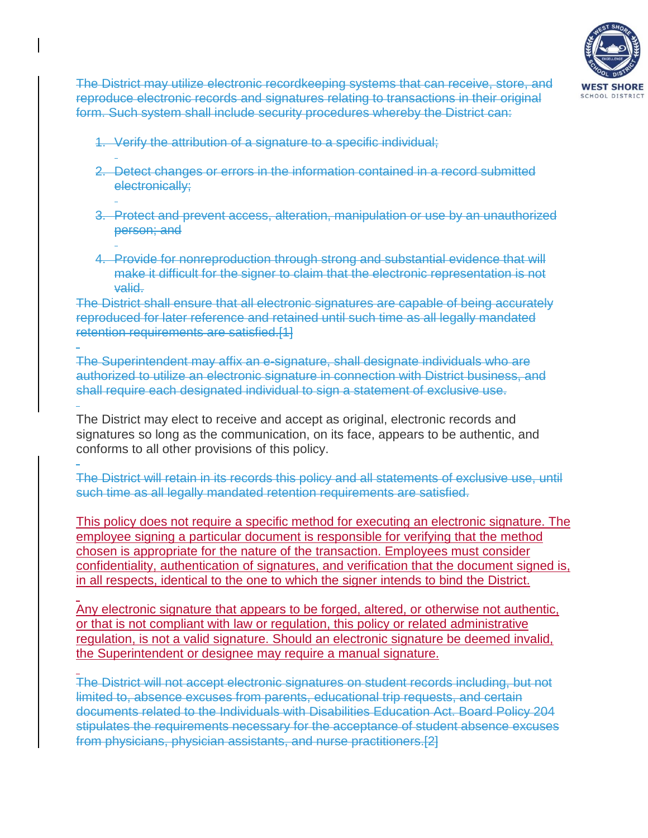

The District may utilize electronic recordkeeping systems that can receive, store, and reproduce electronic records and signatures relating to transactions in their original form. Such system shall include security procedures whereby the District can:

- 1. Verify the attribution of a signature to a specific individual;
- 2. Detect changes or errors in the information contained in a record submitted electronically;
- 3. Protect and prevent access, alteration, manipulation or use by an unauthorized person; and
- 4. Provide for nonreproduction through strong and substantial evidence that will make it difficult for the signer to claim that the electronic representation is not valid.

The District shall ensure that all electronic signatures are capable of being accurately reproduced for later reference and retained until such time as all legally mandated retention requirements are satisfied.[1]

The Superintendent may affix an e-signature, shall designate individuals who are authorized to utilize an electronic signature in connection with District business, and shall require each designated individual to sign a statement of exclusive use.

The District may elect to receive and accept as original, electronic records and signatures so long as the communication, on its face, appears to be authentic, and conforms to all other provisions of this policy.

The District will retain in its records this policy and all statements of exclusive use, until such time as all legally mandated retention requirements are satisfied.

This policy does not require a specific method for executing an electronic signature. The employee signing a particular document is responsible for verifying that the method chosen is appropriate for the nature of the transaction. Employees must consider confidentiality, authentication of signatures, and verification that the document signed is, in all respects, identical to the one to which the signer intends to bind the District.

Any electronic signature that appears to be forged, altered, or otherwise not authentic, or that is not compliant with law or regulation, this policy or related administrative regulation, is not a valid signature. Should an electronic signature be deemed invalid, the Superintendent or designee may require a manual signature.

The District will not accept electronic signatures on student records including, but not limited to, absence excuses from parents, educational trip requests, and certain documents related to the Individuals with Disabilities Education Act. Board Policy 204 stipulates the requirements necessary for the acceptance of student absence excuses from physicians, physician assistants, and nurse practitioners.[2]